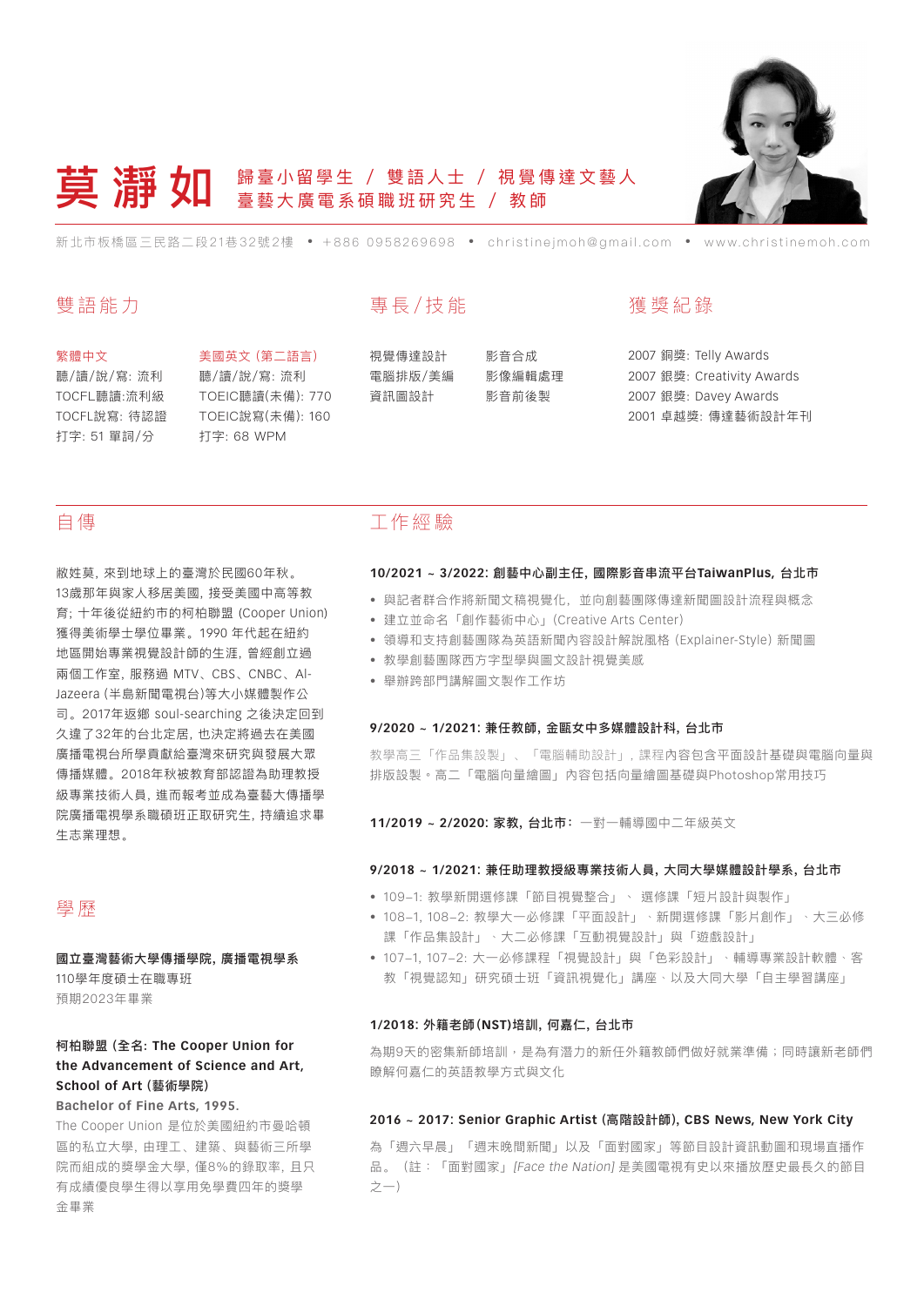

# **莫 清 女日** 歸臺小留學生 / 雙語人士 / 視覺傳達文藝人 臺藝大廣電系碩職班研究生 / 教師

新北市板橋區三民路二段21巷32號2樓 • +886 0958269698 • christinejmoh@gmail.com • www.christinemoh.com

## 雙語能力

#### 繁體中文

聽/讀/說/寫: 流利 TOCFL聽讀:流利級 TOCFL說寫: 待認證 打字: 51 單詞/分

美國英文 (第二語言) 聽/讀/說/寫: 流利 TOEIC聽讀(未備): 770 TOEIC說寫(未備): 160 打字: 68 WPM

# 專長/技能

視覺傳達設計 電腦排版/美編 資訊圖設計

影音合成 影像編輯處理 影音前後製

## 獲 獎 紀 錄

銅獎: Telly Awards 銀獎: Creativity Awards 銀獎: Davey Awards 卓越獎: 傳達藝術設計年刊

## 自傳

敝姓莫, 來到地球上的臺灣於民國60年秋。 13歲那年與家人移居美國, 接受美國中高等教 育; 十年後從紐約市的柯柏聯盟 (Cooper Union) 獲得美術學士學位畢業。1990 年代起在紐約 地區開始專業視覺設計師的生涯, 曾經創立過 兩個工作室, 服務過 MTV、CBS、CNBC、Al-Jazeera (半島新聞電視台)等大小媒體製作公 司。2017年返鄉 soul-searching 之後決定回到 久違了32年的台北定居, 也決定將過去在美國 廣播電視台所學貢獻給臺灣來研究與發展大眾 傳播媒體。2018年秋被教育部認證為助理教授 級專業技術人員, 進而報考並成為臺藝大傳播學 院廣播電視學系職碩班正取研究生, 持續追求畢 生志業理想。

## 學歷

國立臺灣藝術大學傳播學院, 廣播電視學系 110學年度碩士在職專班 預期2023年畢業

### 柯柏聯盟 (全名: **The Cooper Union for the Advancement of Science and Art, School of Art** (藝術學院) **Bachelor of Fine Arts, 1995.**

The Cooper Union 是位於美國紐約市曼哈頓 區的私立大學, 由理工、建築、與藝術三所學 院而組成的獎學金大學, 僅8%的錄取率, 且只 有成績優良學生得以享用免學費四年的獎學 金畢業

## 工作經 驗

#### **10/2021 ~ 3/2022:** 創藝中心副主任, 國際影音串流平台**TaiwanPlus,** 台北市

- 與記者群合作將新聞文稿視覺化,並向創藝團隊傳達新聞圖設計流程與概念
- • 建立並命名「創作藝術中心」(Creative Arts Center)
- • 領導和支持創藝團隊為英語新聞內容設計解說風格 (Explainer-Style) 新聞圖
- • 教學創藝團隊西方字型學與圖文設計視覺美感
- • 舉辦跨部門講解圖文製作工作坊

#### **9/2020 ~ 1/2021:** 兼任教師, 金甌女中多媒體設計科, 台北市

教學高三「作品集設製」、「電腦輔助設計」, 課程內容包含平面設計基礎與電腦向量與 排版設製。高二「電腦向量繪圖」內容包括向量繪圖基礎與Photoshop常用技巧

**11/2019 ~ 2/2020:** 家教, 台北市:一對一輔導國中二年級英文

#### **9/2018 ~ 1/2021:** 兼任助理教授級專業技術人員, 大同大學媒體設計學系, 台北市

- 109-1: 教學新開選修課「節目視覺整合」、選修課「短片設計與製作」
- 108-1, 108-2: 教學大一必修課「平面設計」、新開選修課「影片創作」、大三必修 課「作品集設計」﹑大二必修課「互動視覺設計」與「遊戲設計」
- 107-1, 107-2: 大一必修課程「視覺設計」與「色彩設計」、輔導專業設計軟體、客 教「視覺認知」研究碩士班「資訊視覺化」講座﹑以及大同大學「自主學習講座」

#### **1/2018:** 外籍老師(**NST)**培訓, 何嘉仁, 台北市

為期9天的密集新師培訓,是為有潛力的新任外籍教師們做好就業準備;同時讓新老師們 瞭解何嘉仁的英語教學方式與文化

#### **2016 ~ 2017: Senior Graphic Artist** (高階設計師), **CBS News, New York City**

為「週六早晨」「週末晚間新聞」以及「面對國家」等節目設計資訊動圖和現場直播作 品。(註:「面對國家」[Face the Nation] 是美國電視有史以來播放歷史最長久的節目 之一)